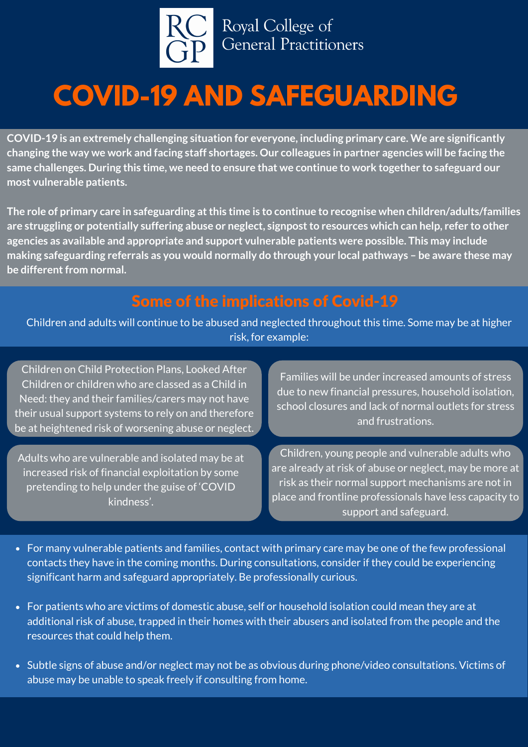

# **COVID-19 AND SAFEGUARDING**

**COVID-19 is an extremely challenging situation for everyone, including primary care. We are significantly** changing the way we work and facing staff shortages. Our colleagues in partner agencies will be facing the same challenges. During this time, we need to ensure that we continue to work together to safeguard our **most vulnerable patients.**

**The role of primary care in safeguarding atthis time is to continue to recognise when children/adults/families are struggling or potentially suffering abuse or neglect, signpostto resources which can help, refer to other agencies as available and appropriate and support vulnerable patients were possible. This may include making safeguarding referrals as you would normally do through your local pathways – be aware these may be** different from normal.

### Some of the implications of Covid-19

Children and adults will continue to be abused and neglected throughout this time. Some may be at higher risk, for example:

Children on Child Protection Plans, Looked After Children or children who are classed as a Child in Need: they and their families/carers may not have their usual support systems to rely on and therefore be at heightened risk of worsening abuse or neglect.

Adults who are vulnerable and isolated may be at increased risk of financial exploitation by some pretending to help under the guise of 'COVID kindness'.

Families will be under increased amounts of stress due to new financial pressures, household isolation, school closures and lack of normal outlets for stress and frustrations.

Children, young people and vulnerable adults who are already at risk of abuse or neglect, may be more at risk as their normal support mechanisms are not in place and frontline professionals have less capacity to support and safeguard.

- For many vulnerable patients and families, contact with primary care may be one of the few professional contacts they have in the coming months. During consultations, consider if they could be experiencing significant harm and safeguard appropriately. Be professionally curious.
- For patients who are victims of domestic abuse, self or household isolation could mean they are at additional risk of abuse, trapped in their homes with their abusers and isolated from the people and the resources that could help them.
- Subtle signs of abuse and/or neglect may not be as obvious during phone/video consultations. Victims of abuse may be unable to speak freely if consulting from home.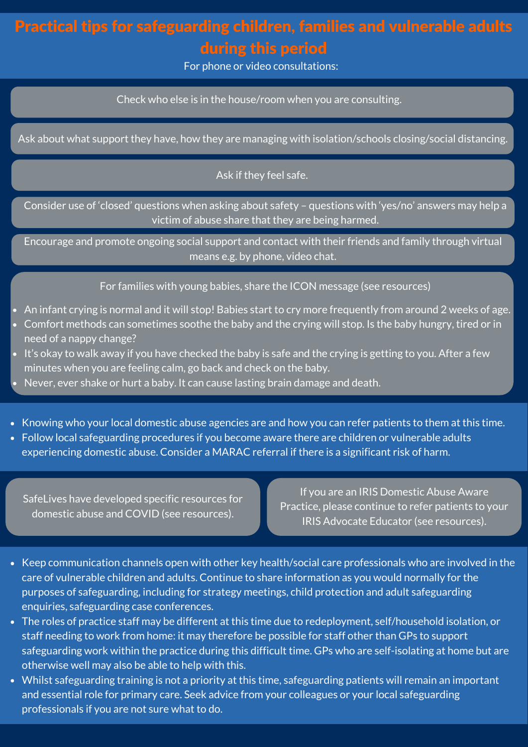## Practical tips for safeguarding children, families and vulnerable adults during this period

For phone or video consultations:

Check who else is in the house/room when you are consulting.

Ask about what support they have, how they are managing with isolation/schools closing/social distancing.

#### Ask if they feel safe.

Consider use of 'closed' questions when asking about safety – questions with 'yes/no' answers may help a victim of abuse share that they are being harmed.

Encourage and promote ongoing social support and contact with their friends and family through virtual means e.g. by phone, video chat.

#### For families with young babies, share the ICON message (see resources)

- An infant crying is normal and it will stop! Babies start to cry more frequently from around 2 weeks of age.
- Comfort methods can sometimes soothe the baby and the crying will stop. Is the baby hungry, tired or in need of a nappy change?
- It's okay to walk away if you have checked the baby is safe and the crying is getting to you. After a few minutes when you are feeling calm, go back and check on the baby.
- Never, ever shake or hurt a baby. It can cause lasting brain damage and death.
- Knowing who your local domestic abuse agencies are and how you can refer patients to them at this time.
- Follow local safeguarding procedures if you become aware there are children or vulnerable adults experiencing domestic abuse. Consider a MARAC referral if there is a significant risk of harm.

SafeLives have developed specific resources for domestic abuse and COVID (see resources).

If you are an IRIS Domestic Abuse Aware Practice, please continue to refer patients to your IRIS Advocate Educator (see resources).

- Keep communication channels open with other key health/social care professionals who are involved in the care of vulnerable children and adults. Continue to share information as you would normally for the purposes of safeguarding, including for strategy meetings, child protection and adult safeguarding enquiries, safeguarding case conferences.
- The roles of practice staff may be different at this time due to redeployment, self/household isolation, or staff needing to work from home: it may therefore be possible for staff other than GPs to support safeguarding work within the practice during this difficult time. GPs who are self-isolating at home but are otherwise well may also be able to help with this.
- Whilst safeguarding training is not a priority at this time, safeguarding patients will remain an important and essential role for primary care. Seek advice from your colleagues or your local safeguarding professionals if you are not sure what to do.